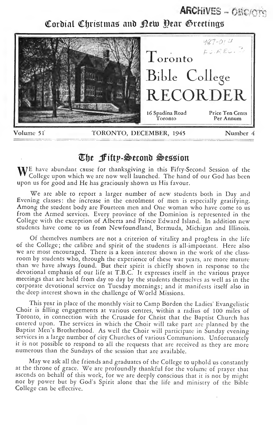### ARCHIVES - OBC/CTG

Cordial Christmas and <u>Dew Dear Greetings</u>



## l^lje Jfiftp-^econb ^esigion

 $\bf{W}^E$  have abundant cause for thanksgiving in this Fifty-Second Session of the College upon which we are now well launched. The hand of our God has been upon us for good and He has graciously shown us His favour.

We are able to report <sup>a</sup> larger number of new students both in Day and Evening classes: the increase in the enrolment of men is especially gratifying. Among the student body are Fourteen men and One woman who have come to us from the Armed services. Every province of the Dominion is represented in the College with the exception of Alberta and Prince Edward Island. In addition new students have come to us from Newfoundland, Bermuda, Michigan and Illinois.

Of themelves numbers are not <sup>a</sup> criterion of vitality and progress in the life of the College; the calibre and spirit of the students is all-important. Here also we are most encouraged. There is<sup>a</sup> keen interest shown in the work of the class room by students who, through the experience of these war years, are more mature than we have always found. But their spirit is chiefly shown in response to the devotional emphasis of our life at T.B.C. It expresses itself in the various prayer meetings that are held from day to day by the students themselves as well as in the corporate devotional service on Tuesday mornings; and it manifests itself also in the deep interest shown in the challenge of World Missions.

This year in place of the monthly visit to Camp Borden the Ladies' Evangelistic Choir is filling engagements at various centres, within <sup>a</sup> radius of 100 miles of Toronto, in connection with the Crusade for Christ that the Baptist Church has entered upon. The services in which the Choir will take part are planned by the Baptist Men's Brotherhood. As well the Choir will participate in Sunday evening services in <sup>a</sup> large number of city Churches of various Communions. Unfortunately it is not possible to respond to all the requests that are received as they are more numerous than the Sundays of the session that are available.

May we ask all the friends and graduates of the College to uphold us constantly at the throne of grace. We are profoundly thankful for the volume of prayer that ascends on behalf of this work, for we are deeply conscious that it is not by might nor by power but by God's Spirit alone that the life and ministry of the Bible College can be effective.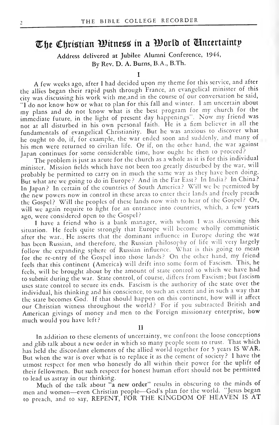## The Christian Witness in a World of Uncertainty

Address delivered at Jubilee Alumni Conference, 1944, By Rev. D. A. Burns, B.A., B.Th.

A few weeks ago, after <sup>I</sup>had decided upon my theme for this service, and after the allies began their rapid push through France, an evangelical minister of this city was discussing his work with me,and in the course of our conversation he said, "1 do not know how or what to plan for this fall and winter. <sup>I</sup> am uncertain about my plans and do not know what is the best program for my church for the immediate future, in the light of present day happenings". Now my friend was not at all disturbed in his own personal faith. He is a firm believer in all the fundamentals of evangelical Christianity. But he was anxious to discover what he ought to do, if, for example, the war ended soon and suddenly, and many of his men were returned to civilian life. Or if, on the other hand, the war against Japan continues for some considerable time, how ought he then to proceed?

The problem is just as acute for the church as <sup>a</sup> whole as it is for this individual minister. Mission fields which have not been too greatly disturbed by the war, will probably be permitted to carry on in much the same way as they have been domg. But what are we going to do in Europe? And in the Far East? In India? In China? In Japan? In certain of the countries of South America? Will we be permitted by the new powers now in control in these areas to enter their lands and freely preach the Gospel? Will the peoples of these lands now wish to heat of the Gospel? Or, will we again require to fight for an entrance into countries, which, <sup>a</sup> few years ago, were considered open to the Gospel?

I have a friend who is a bank manager, with whom I was discussing this situation. He feels quite strongly that Europe will become wholly communistic after the war.. He asserts that the dominant influence in Europe during the war has been Russian, and therefore, the Russian philosophy of life will very largely follow the expanding sphere of Russian influence. What is this going to mean for the re-entry of the Gospel into those lands? On the other hand, my friend feels that this continent (America) will drift into some form of Fascism. This, he feels, will be brought about by the amount of state control to which we have had to submit during the war. State control, of course, differs from Fascism ; but fascism uses state control to secure its ends. Fascism is the authority of the state over the individual, his thinking and his conscience, to such an extent and in such <sup>a</sup> way that the state becomes God. If that should happen on this continent, how will it affect our Christian witness throughout the world? For if you subtracted British and American givings of money and men to the Foreign missionary enterprise, how much would you have left?

II

In addition to these elements of uncertainty, we confront the loose conceptions and glib talk about <sup>a</sup> new order in which so many people seem to trust. That which has held the discordant elements of the allied world together for <sup>5</sup> years IS WAR. But when the war is over what is to replace it as the cement of society? I have the utmost respect for men who honestly do all within their power for the uplift of their fellowmen. But such respect for honest human effort should not be permitted to lead us astray in our thinking.

Much of the talk about "a new order" results in obscuring to the minds of men and women—even Christian people—God's plan for the world. "Jesus began to preach, and to say, REPENT, FOR THE KINGDOM OF HEAVEN IS AT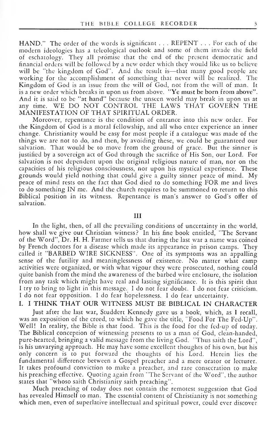HAND." The order of the words is significant . . . REPENT . . . For each of the modern ideologies has <sup>a</sup> teleological outlook and some of them invade the field of eschatology. They all promise that the end of the present democratic and financial orders will be followed by <sup>a</sup> new order which they would like us to believe will be "the kingdom of God". And the result is—that many good people are working for the accomplishment of something that never will be realized. The Kingdom of God is an issue from the will of God, not from the will of man. It is <sup>a</sup> new order which breaks in upon us from above. "Ye must be born from above". And it is said to be "at hand" because the unseen world may break in upon us at any time. WE DO NOT CONTROL THE LAWS THAT GOVERN THE MANIFESTATION OF THAT SPIRITUAL ORDER.

Moreover, repentance is the condition of entrance into this new order. For the Kingdom of God is <sup>a</sup> moral fellowship, and all who enter experience an inner change. Christianity would be easy for most people if <sup>a</sup> catalogue was made of the things we are not to do, and then, by avoiding these, we could be guaranteed our salvation. That would be to move from the ground of grace. But the sinner is justified by <sup>a</sup> sovereign act of God through the sacrifice of His Son, our Lord. For salvation is not dependent upon the original religious nature of man, nor on the capacities of his religious consciousness, nor upon his mystical experience. These grounds would yield nothing that could give <sup>a</sup> guilty sinner peace of mind. My peace of mind rests on the fact that God died to do something FOR me and lives to do something IN me. And the church requires to be summoned to return to this Biblical position in its witness. Repentance is man's answer to God's offer of salvation.

#### Ill

In the light, then, of all the prevailing conditions of uncertainty in the world, how shall we give our Christian witness? In his fine book entitled, "The Servant of the Word", Dr. H. H. Farmer tells us that during the last war <sup>a</sup> name was coined by French doctors for <sup>a</sup> disease which made its appearance in prison camps. They called it "BARBED WIRE SICKNESS". One of its symptoms was an appalling sense of the futility and meaninglessness of existence. No matter what camp activities were organized, or with what vigour they were prosecuted, nothing could quite banish from the mind the awareness of the barbed wire enclosure, the isolation from any task which might have real and lasting significance. It is this spirit that <sup>I</sup> try to bring to light in this message. <sup>I</sup> do not fear doubt. <sup>I</sup> do not fear criticism. <sup>I</sup> do not fear opposition. <sup>I</sup> do fear hopelessness. <sup>I</sup> do fear uncertainty.

### I. <sup>I</sup> THINK THAT OUR WITNESS MUST BE BIBLICAL IN CHARACTER

Just after the last war, Studdert Kennedy gave us <sup>a</sup> book, which, as <sup>I</sup> recall, was an exposition of the creed, to which he gave the title, 'Tood For The Fed-Up". Well! In reality, the Bible is that food. This is the food for the fed-up of today. The Biblical conception of witnessing presents to us <sup>a</sup> man of God, clean-handed, pure-hearted, bringing a valid message from the living God. "Thus saith the Lord", is his unvarying approach. He may have some excellent thoughts of his own, but his only concern is to put forward the thoughts of his Lord. Herein lies the fundamental difference between a Gospel preacher and a mere orator or lecturer. It takes profound conviction to make <sup>a</sup> preacher, and rare consecration to make his preaching effective. Quoting again from "The Servant of the Word", the author states that "whoso saith Christianity saith preaching".

Much preaching of today does not contain the remotest suggestion that God has revealed Himself to man. The essential content of Christianity is not something which men, even of superlative intellectual and spiritual power, could ever discover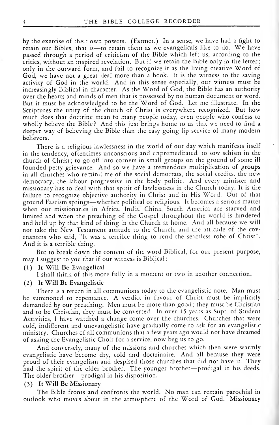by the exercise of their own powers. (Farmer.) In <sup>a</sup> sense, we have had <sup>a</sup> fight to retain our Bibles, that is-to retain them as we evangelicals like to do. We have passed through a period of criticism of the Bible which left us, according to the critics, without an inspired revelation. But if we retain the Bible only in the letter; only in the outward form, and fail to recognize it as the living creative Word of God, we have not <sup>a</sup> great deal more than <sup>a</sup> book. It is the witness to the saving activity of God in the world. And in this sense especially, our witness must be increasingly Biblical in character. As the Word of God, the Bible has an authority over the hearts and minds of men that is possessed by no human document or word. But it must be acknowledged to be the Word of God. Let me illustrate. In the Scriptures the unity of the church of Christ is everywhere recognized. But how much does that doctrine mean to many people today, even people who confess to wholly believe the Bible? And this just brings home to us that we need to find <sup>a</sup> deeper way of believing the Bible than the easy going lip service of many modern believers.

There is <sup>a</sup> religious lawlessness in the world of our day which manifests itself in the tendency, oftentimes unconscious and unpremeditated, to sow schism in the church of Christ; to go off into corners in small groups on the ground of some ill founded petty grievance. And so we have <sup>a</sup> tremendous multiplication of groups in all churches who remind me of the social democrats, the social credits, the new democracy, the labour progressive in the body politic. And every minister and missionary has to deal with that spirit of lawlessness in the Church today. It is the failure to recognize objective authority in Christ and in His Word. Out of that ground Fascism springs—whether political or religious. It becomes <sup>a</sup> serious matter when our missionaries in Africa, India, China, South America are starved and limited and when the preaching of the Gospel throughout the world is hindered and held up by that kind of thing in the Church at home. And all because we will not take the New Testament attitude to the Church, and the attitude of the cov enanters who said, "It was <sup>a</sup> terrible thing to rend the seamless robe of Christ". And it is <sup>a</sup> terrible thing.

But to break down the content of the word Biblical, for our present purpose, may <sup>I</sup> suggest to you that if our witness is Biblical

- (1) It Will Be Evangelical
	- <sup>I</sup> shall think of this more fully in <sup>a</sup> moment or two in another connection.
- ( 2 ) It Will Be Evangelistic

There is a return in all communions today to the evangelistic note. Man must be summoned to repentance. A verdict in favour of Christ must be implicitly demanded by our preaching. Men must be more than good; they must be Christian and to be Christian, they must be converted. In over 15 years as Supt. of Student Activities, <sup>I</sup> have watched <sup>a</sup> change come over the churches. Churches that were cold, indifferent and unevangelistic have gradually come to ask for an evangelistic ministry. Churches of all communions that <sup>a</sup> few years ago would not have dreamed of asking the Evangelistic Choir for <sup>a</sup> service, now beg us to go.

And conversely, many of the missions and churches which then were warmly evangelistic have become dry, cold and doctrinaire. And all because they were proud of their evangelism and despised those churches that did not have it. They had the spirit of the elder brother. The younger brother—prodigal in his deeds. The older brother—prodigal in his disposition.

#### (3) It Will Be Missionary

The Bible fronts and confronts the world. No man can remain parochial in outlook who moves about in the atmosphere of the Word of God. Missionary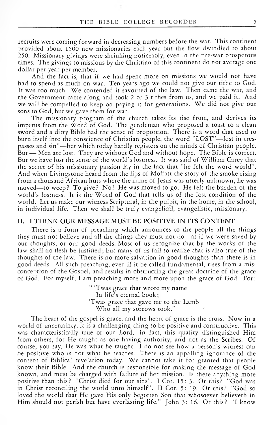recruits were coming forward in decreasing numbers before the war. This continent provided about 1500 new missionaries each year but the flow dwindled to about 250. Missionary givings were shrinking noticeably, even in the pre-war prosperous rimes. The givings to missions by the Christian of this continent do not average one dollar per year per member.

And the fact is, that if we had spent more on missions we would not have had to spend as much on war. Ten years ago we could not give our tithe to God. It was too much. We contended it savoured of the law. Then came the war, and the Government came along and took <sup>2</sup> or <sup>3</sup> tithes from us, and we paid it. And we will be compelled to keep on paying it for generations. "We did not give our sons to God, but we gave them for war.

The missionary program of the church takes its rise from, and derives its impetus from the Word of God. The gentleman who proposed <sup>a</sup> toast to <sup>a</sup> clean sword and <sup>a</sup> dirty Bible had the sense of proportion. There is <sup>a</sup> word that used to burn itself into the conscience of Christian people, the word "LOST"—lost in tres passes and sin"—but which today hardly registers on the minds of Christian people. But — Men arc lost. They are without God and without hope. The Bible is correct. But we have lost the sense of the world's lostness. It was said of William Carey that the secret of his missionary passion lay in the fact that "he felt the word world". And when Livingstone heard from the lips of Moffatt the story of the smoke rising from <sup>a</sup> thousand African huts where the name of Jesus was utterly unknown, he was moved—to weep? To give? No! He was moved to go. He felt the burden of the world's lostness. It is the Word of God that tells us of the lost condition of the world. Let us make our witness Scriptural, in the pulpit, in the home, in the school, in individual life. Then we shall be truly evangelical, evangelistic, missionary.

#### IL <sup>I</sup> THINK OUR MESSAGE MUST BE POSITIVE IN ITS CONTENT

There is a form of preaching which announces to the people all the things they must not believe and all the things they must not do—as if we were saved by our thoughts, or our good deeds. Most of us recognize that by the works of the law shall no flesh be justified; but many of us fail to realize that is also true of the thoughts of the law. There is no more salvation in good thoughts than there is in good deeds. All such preaching, even if it be called fundamental, rises from a misconception of the Gospel, and results in obstructing the great doctrine of the grace of God. For myself, <sup>I</sup>am preaching more and more upon the grace of God. For:

> " 'Twas grace that wrote my name In life's eternal book; 'Twas grace that gave me to the Lamb Who all my sorrows took."

The heart of the gospel is grace, and the heart of grace is the cross. Now in <sup>a</sup> world of uncertainty, it is a challenging thing to be positive and constructive. This was characteristically true of our Lord. In fact, this quality distinguished Him from others, for He taught as one having authority, and not as the Scribes. Of course, you say. He was what he taught. <sup>I</sup> do not see how <sup>a</sup> person's witness can be positive who is not what he teaches. There is an appalling ignorance of the content of Biblical revelation today. We cannot take it for granted that people know their Bible. And the church is responsible for making the message of God known, and must be charged with failure of her mission. Is there anything more positive than this? ''Christ died for our sins''. I Cor. 15: 3. Or this? ''God was in Christ reconciling the world unto himself". II Cor. 5: 19. Or this? "God so loved the world that He gave His only begotten Son that whosoever believeth in Him should not perish but have everlasting life." John 3: 16. Or this? "I know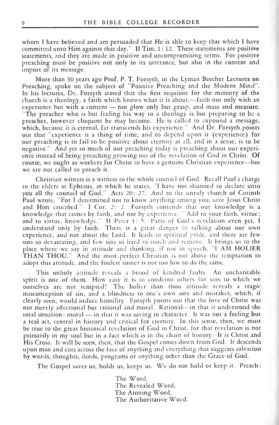whom <sup>I</sup> have believed and am persuaded that He is able to keep that which <sup>I</sup> have committed unto Him against that day." II Tim. 1:12. These statements are positive statements, and they are made in positive and uncompromising terms. For positive preaching must be positive not only in its utterance, but also in the content and import of its message.

More than 30 years ago Prof. P. T. Forsyth, in the Lyman Beecher Lectures on Preaching, spoke on the subject of "Positive Preaching and the Modern Mind". In his lectures, Dr. Forsyth stated that the first requisite for the ministry of the church is <sup>a</sup> theology, <sup>a</sup> faith which knows v/hat it is about,—faith not only with an experience but with <sup>a</sup> content — not glow only but grasp, and mass and measure. The preacher who is but feeling his way to <sup>a</sup> theology is but preparing to be <sup>a</sup> preacher, however eloquent he may become. He is called to expound <sup>a</sup> message, which, because it is eternal, far transcends his experience." And Dr. Forsyth points out that "experience is <sup>a</sup> thing of time, and to depend upon it (experience) for our preaching is to fail to be positive about eternity at all, and in a sense, is to be negative." And yet so much of our preaching today is preaching about our experi ence instead of being preaching growing out of the revelation of God in Christ. Of course, we ought as workers for Christ to have <sup>a</sup> genuine Christian experience—but we are not called to preach it.

Christian witness is a witness to the whole counsel of God. Recall Paul's charge to the elders at Ephesus, in which he states, "I have not shunned to declare unto you all the counsel of God." Acts 20: 27. And to the unruly church of Corinth Paul wrote, "For <sup>I</sup> determined not to know anything among you, save Jesus Christ and Him crucified." <sup>I</sup> Cor. 2: 2. Forsyth contends that our knowledge is <sup>a</sup> knowledge that comes by faith, and not by experience. 'Add to your faith, virtue; and to virtue, knowledge." II Peter 1: 5. Parts of God's revelation even yet, I understand only by faith. There is <sup>a</sup> great danger in talking about our own experience, and not about the Lord. It leads to spiritual pride, and there are few sins so devastating, and few sins so hard to touch and remove. It brings us to the place where we say in attitude and thinking, if not in speech, "I AM HOLIER THAN THOU." And the most perfect Christian is not above the temptation to adopt this attitude, and the foulest sinner is not too low to do the same.

This unholy attitude reveals <sup>a</sup> brood of kindred faults. An uncharitable spirit is one of them. How easy it is to condemn others for sins to which we ourselves are not tempted! The holier than thou attitude reveals <sup>a</sup> tragic misconception of sin, and <sup>a</sup> blindness to one's own sins and mistakes, which, if clearly seen, would induce humility. Forsyth points out that the love of Christ was not merely affcctional but rational and moral. Rational—in that it understood the total situation : moral — in that it was saving in character. It was not <sup>a</sup> feeling but <sup>a</sup> real act, central in history and critical for eternity. In this sense, then, we must be true to the great historical revelation of God in Christ, for that revelation is not primarily in my soul but in a fact which is in the chain of history. It is Christ and His Cross. It will be seen, then, that the Gospel comes down from God. It descends upon man and cuts across the face of anything and everything that suggests salvation by words, thoughts, deeds, programs or anything other than the Grace of God.

The Gospel saves us, holds us, keeps us. 'We do not hold or keep it. Preach:

The Word, The Revealed Word, The Atoning Word, The Authoritative Word.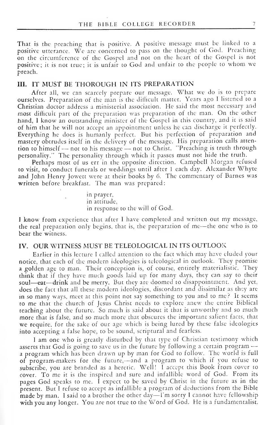That is the preaching that is positive. A positive message must be linked to <sup>a</sup> positive utterance. We are concerned to pass on the thought of God. Preaching on the circumference of the Gospel and not on the heart of the Gospel is not positive; it is not true; it is unfair to God and unfair to the people to whom we preach.

#### III. IT MUST BE THOROUGH IN ITS PREPARATION

After all, we can scarcely prepare our message. What we do is to prepare ourselves. Preparation of the man is the difficult matter. Years ago <sup>I</sup> listened to <sup>a</sup> Christian doctor address <sup>a</sup> ministerial association. He said the most necessary and most difficult part of the preparation was preparation of the man. On the other hand, I know an outstanding minister of the Gospel in this country, and it is said of him that he will not accept an appointment unless he can discharge it perfectly. Everything he does is humanly perfect. But his perfection of preparation and mastery obtrudes itself in the delivery of the message. His preparation calls atten tion to himself — not to his message — not to Christ. "Preaching is truth through personality." The personality through which it passes must not hide the truth.

Perhaps most of us err in the opposite direction. Campbell Morgan refused to visit, to conduct funerals or weddings until after <sup>1</sup> each day. Alexander Whyte and John Henry Jowett were at their books by 6. The commentary of Barnes was written before breakfast. The man was prepared:

> in prayer, in attitude, in response to the will of God.

<sup>I</sup> know from experience that after <sup>I</sup> have completed and written out my message, the real preparation only begins, that is, the preparation of me—the one who is to bear the witness.

#### IV. OUR WITNESS MUST BE TELEOLOGICAL IN ITS OUTLOOK

Earlier in this lecture <sup>I</sup> called attention to the fact which may have eluded your notice, that each of the modern ideologies is teleological in outlook. They promise <sup>a</sup> golden age to man. Their conception is, of course, entirely materialistic. They think that if they have much goods laid up for many days, they can say to their soul—eat—drink and be merry. But they are doomed to disappointment. And yet, does the fact that all these modern ideologies, discordant and dissimilar as they are in so many ways, meet at this point not say something to you and to me? It seems to me that the church of Jesus Christ needs to explore anew the entire Biblical teaching about the future. So much is said about it that is unworthy and so much more that is false, and so much more that obscures the important salient facts, that we require, for the sake of our age which is being lured by these false ideologies into accepting <sup>a</sup> false hope, to be sound, scriptural and fearless.

<sup>I</sup> am one who is greatly disturbed by that type of Christian testimony which asserts that God is going to save us in the future by following <sup>a</sup> certain program a program which has been drawn up by man for God to follow. The world is full of program-makers for the future,—and <sup>a</sup> program to which if you refuse to subscribe, you are branded as <sup>a</sup> heretic. Well! <sup>I</sup>accept this Book from cover to cover. To me it is the inspired and sure and infallible word of God. From its pages God speaks to me. <sup>I</sup> expect to be saved by Christ in the future as in the present. But <sup>I</sup> refuse to accept as infallible <sup>a</sup> program of deductions from the Bible made by man. <sup>I</sup> said to <sup>a</sup> brother the other day I'm sorry <sup>I</sup> cannot have fellowship with you any longer. You are not true to the Word of God. He is <sup>a</sup> fundamentalist.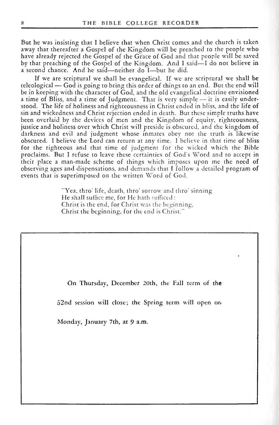But he was insisting that <sup>I</sup> believe that when Christ comes and the church is taken away that thereafter <sup>a</sup> Gospel of the Kingdom will be preached to the people who have already rejected the Gospel of the Grace of God and that people will be saved by that preaching of the Gospel of the Kingdom. And <sup>I</sup> said—<sup>I</sup> do not believe in <sup>a</sup> second chance. And he said—neither do <sup>I</sup> —but he did.

If we are scriptural we shall be evangelical. If we are scriptural we shall be teleological — God is going to bring this order of things to an end. But the end will be in keeping with the character of God, and the old evangelical doctrine envisioned <sup>a</sup> time of Bliss, and <sup>a</sup> time of Judgment. That is very simple — it is easily understood. The life of holiness and righteousness in Christ ended in bliss, and the life of sin and wickedness and Christ rejection ended in death. But these simple truths have been overlaid by the devices of men and the Kingdom of equity, righteousness, justice and holiness over which Christ will preside is obscured, and the kingdom of darkness and evil and judgment whose inmates obey not the truth is likewise obscured. <sup>I</sup> believe the Lord can return at any time. <sup>I</sup> believe in that time of bliss for the righteous and that time of judgment for the wicked which the Bible proclaims. But <sup>I</sup> refuse to leave these certainties of God's Word and to accept in their place <sup>a</sup> man-made scheme of things which imposes upon me the need of observing ages and dispensations, and demands that <sup>I</sup> follow a detailed program of events that is superimposed on the written Word of God.

> "Yea, thro' life, death, thro' sorrow and thro' sinning He shall suffice me, for He hath sufficed : Christ is the end, for Christ was the beginning, Christ the beginning, for the end is Christ."

On Thursday, December 20th, the Fall term of the

52nd session will close; the Spring term will open on

Monday, January 7th, at 9 a.m.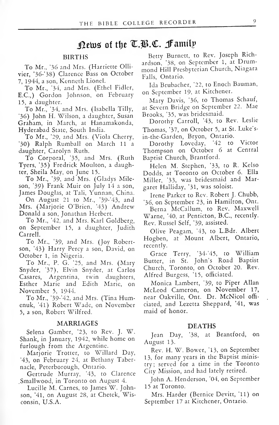## News of the T.B.C. Family

#### BIRTHS

To Mr., '36 and Mrs. (Harriette Ollivier, '36-'38) Clarence Bass on October 7, 1944, <sup>a</sup> son, Kenneth Lionel.

To Mr., '34, and Mrs. (Ethel Fidler, E.C.,) Gordon Johnson, on February 15, a daughter.

To Mr., '34, and Mrs. (Isabella Tilly, '36) John H. Wilson, <sup>a</sup> daughter, Susan Graham, in March, at Hanamakonda, Hyderabad State, South India.

To Mr., '29, and Mrs. (Viola Cherry, '30) Ralph Rumball on March 11 <sup>a</sup> daughter, Carolyn Ruth.

To Corporal, '35, and Mrs. (Ruth Tyers, '35) Fredrick Moulton, a daughter. Sheila May, on June 15.

To Mr., '39, and Mrs. (Gladys Mileson, '39) Frank Muir on July 14 <sup>a</sup> son, James Douglas, at Tali, Yunnan, China.

On August 21 to Mr., '39-'43, and  $\frac{1}{3}$ Mrs. (Marjorie O'Brien, '43) Andrew Donald a son, Jonathan Herbert.

To Mr., '42, and Mrs. Karl Goldberg, on September 15, <sup>a</sup> daughter, Judith Carrell.

To Mr., '39, and Mrs. (Joy Robertson, '43) Harry Percy a son, David, on October 1, in Nigeria.

To Mr., P. G. '25, and Mrs. (Mary Snyder, '37), Elvin Snyder, at Carlos Casares, Argentina, twin daughters, Esther Marie and Edith Marie, on November 5, 1944.

To Mr., '39-'42, and Mrs. (Tina Humenuk, '41) Robert Wade, on November 5, a son, Robert Wilfred.

#### MARRIAGES

Selena Gamber, 23, to Rev. J. W.<br>
Jean Day, Shank, in January, 1942, while home on furlough from the Argentine.

Marjorie Trotter, to Willard Day, '43, on February 24, at Bethany Tabernacle, Peterborough, Ontario.

Gertrude Murray, '43, to Clarence .Smallwood, in Toronto on August 4.

Lucille M. Carnes, to James W. Johnson, '41, on August 28, at Chetek, Wisconsin, U.S.A.

Betty Burnett, to Rev. Joseph Richardson, '38, on September 1, at Drummond Hill Presbyterian Church, Niagara Falls, Ontario.

Ida Brubacher, '22, to Enoch Bauman, on September 19, at Kitchener.

Mary Davis, '36, to Thomas Schauf, at Severn Bridge on September 22. Mae Brooks, '35, was bridesmaid.

Dorothy Carroll, '43, to Rev. Leslie Thomas, "37, on October 5, at St. Luke's in-the-Garden, Bryon, Ontario.

Dorothy Loveday, "42 to Victor Thompson on October 6 at Central Baptist Church, Brantford.

Helen M. Stephen, '33, to R. Kelso Dodds, at Toronto on October 6. Ella Miller, '33, was bridesmaid and Margaret Halliday, \*31, was soloist.

Irene Parker to Rev. Robert J. Chubb, '36, on September 23, in Hamilton, Ont.

Berna McCallum, to Rev. Maxwell Warne, '40, at Penticton, B.C., recently. Rev. Russel Self, '39, assisted.

Olive Peagam, '43, to L.Bdr. Albert Hogben, at Mount Albert, Ontario, recently.

Grace Terry, 34-'45, to William Butter, in St. John's Road Baptist Church, Toronto, on October 20. Rev. Alfred Burgess, '15, officiated.

Monica Lambert, '39, to Piper Allan McLeod Cameron, on November 17, near Oakville, Ont. Dr. McNicol offi ciated, and Lezetta Sheppard, '41, was maid of honor.

#### DEATHS

'38, at Brantford, on August 13.

Rev. H. W. Bower, '13, on September 13, for many years in the Baptist ministry; served for <sup>a</sup> time in the Toronto City Mission, and had lately retired.

John A. Henderson, '04, on September 15 at Toronto.

Mrs. Harder (Bernice Devitt, '11) on September 17 at Kitchener, Ontario.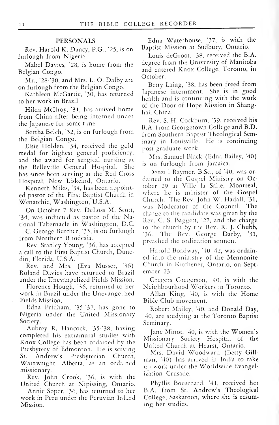#### PERSONALS

Rev. Harold K. Dancy, P.G., '25, is on furlough from Nigeria.

Mabel Davies, '28, is home from the Belgian Congo.

Mr., '28-'30, and Mrs. L. O. Dalby are on furlough from the Belgian Congo.

Kathleen McGarrie, '30, has returned to her work in Brazil.

Hilda Mcllroy, '31, has arrived home from China after being interned under the Japanese for some time.

Bertha Belch, '32, is on furlough from the Belgian Congo.

Elsie Holdcn, '34, received the gold medal for highest general proficiency, and the award for surgical nursing at the Belleville General Hospital. She has since been serving at the Red Cross Hospital, New Liskeard, Ontario.

Kenneth Miles, '34, has been appointed pastor of the First Baptist Church in Wcnatchie, Washington, U.S.A.

On October <sup>7</sup> Rev. DcLoss M. Scott, "34, was inducted as pastor of the National Tabernacle in Washington, D.C.

C. George Butcher, '35, is on furlough  $\frac{10}{36}$ from Northern Rhodesia.

Rev. Stanley Young, '36, has accepted <sup>a</sup> call to the First Baptist Church, Dunedin, Florida, U.S.A.

Rev. and Mrs. (Eva Musser, '36) Roland Davies have returned to Brazil under the Dnevangelized Fields Mission.

Florence Hough, '36, returned to her work in Brazil under the Unevangclized Fields Mission.

Edna Pridham, "35-'37, has gone to Nigeria under the United Missionary Society.

Aubrey R. Hancock, "35-"38, having completed his extramural studies with Knox College has been ordained by the Presbytery of Edmonton. He is serving St. Andrew's Presbyterian Church, Wainwright, Alberta, as an ordained missionary.

Rev. John Crook, '36, is with the United Church at Nipissing, Ontario.

Annie Soper, '36, has returned to her work in Peru under the Peruvian Inland Mission.

Edna Waterhouse, "37, is with the Baptist Mission at Sudbury, Ontario.

Louis deGroot, '38, received the B.A. degree from the University of Manitoba and entered Knox College, Toronto, in October.

Betty Laing, '38, has been freed from Japanese internment. She is in good health and is continuing with the work of the Door-of-Hope Mission in Shanghai, China.

Rev. S. H. Cockburn, '39, received his B.A. from Georgetown College and B.D. from Southern Baptist Theological Seminary in Louisville. He is continuing post-graduate work.

Mrs. Samuel Black (Edna Bailey, '40) is on furlough from Jamaica.

Denziil Raymer, B.Sc, of '40, was or dained to the Gospel Ministry on October 29 at Ville la Salle, Montreal, where he is minister of the Gospel Church. The Rev. John W. Hadall, "31, was Moderator of the Council. The charge to the candidate was given by the Rev. C. S. Baggctt, '27, and the charge to the church by the Rev. R. J. Chubb, The Rev. George Darby, '31, preached the ordination sermon.

Harold Boadway, '40-'42, was ordained into the ministry of the Mennonite Church in Kitchener, Ontario, on September 23.

Gregers Gregerson, '40, is with the Neighbourhood Workers in Toronto.

Allan King, '40, is with the Home Bible Club movement.

Robert Mailcy, '40, and Donald Day, '40, are studying at the Toronto Baptist Seminary.

Jane Minot, "40, is with the Women's Missionary Society Hospital of the United Church at Hearst, Ontario.

Mrs. David Woodward (Betty Gill man, "40) has arrived in India to take up work under the Worldwide Evangelization Crusade.

Phyllis Bouschard, "41, received her B.A. from St. Andrew's Theological College, Saskatoon, where she is resuming her studies.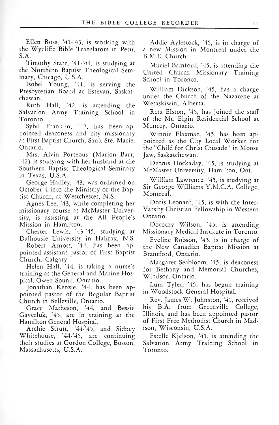Ellen Ross, '41-'43, is working with the Wychffe Bible Translators in Peru, S.A.

Timothy Starr, '4l-'44, is studying at the Northern Baptist Theological Seminary, Chicago, U.S.A.

Isobel Young, "41, is serving the Presbyterian Board at Estevan, Saskat chewan.

Ruth Hall, "42, is attending the Salvation Army Training School in Toronto.

Sybil Franklin, "42, has been ap pointed deaconess and city missionary at First Baptist Church, Sault Ste. Marie, Ontario.

Mrs. Alvin Porteous (Marion Barr, '42) is studying with her husband at the Southern Baptist Theological Seminary in Texas, U.S.A.

George Hadley, "43, was ordained on October 4 into the Ministry of the Baptist Church, at Westchester, N.S.

Agnes Lee, "43, while completing her missionary course at McMaster University, is assisting at the All People's Mission in Hamilton.

Chester Lewis, '43-'45, studying at Dalhousie University in Halifax, N.S.

Robert Arnott, "44, has been ap pointed assistant pastor of First Baptist Church, Calgary.

Helen Hall, "44, is taking a nurse's training at the General and Marine Hospital, Owen Sound, Ontario.

Jonathan Kenzie, '44, has been ap pointed pastor of the Regular Baptist Church in Belleville, Ontario.

Grace Matheson, '44, and Bessie Gaverluk, "45, are in training at the Hamilton General Hospital.

Archie Strutt, "44-'45, and Sidney Whitehouse, '44-'45, are continuing their studies at Gordon College, Boston, Massachusetts, U.S.A.

Addie Aylestock, '45, is in charge of <sup>a</sup> new Mission in Montreal under the B.M.E. Church.

Muriel Bamford, '45, is attending the United Church Missionary Training School in Toronto.

William Dickson, "45, has a charge under the Church of the Nazarene at Wetaskiwin, Alberta.

Reta Elston, "45, has joined the staff of the Mt. Elgin Residential School at Muncey, Ontario.

Winnie Flaxman, "45, has been ap pointed as the City Local Worker for the "Child for Christ Crusade" in Moose Jaw, Saskatchewan.

Dennis Hockaday, "45, is studying at McMaster University, Hamilton, Ont.

William Lawrence, "45, is studying at Sir George Williams Y.M.C.A. College, Montreal.

Doris Leonard, '45, is with the Inter- Varsity Christian Fellowship in Western Ontario.

Dorothy Wilson, '45, is attending Missionary Medical Institute in Toronto.

Eveline Robson, '45, is in charge of the New Canadian Baptist Mission at Brantford, Ontario.

Margaret Seabloom, "45, is deaconess for Bethany and Memorial Churches, Windsor, Ontario.

Lura Tyler, '45, has begun training in Woodstock General Hospital.

Rev. James W. Johnston, "41, received his B.A. from Greenville College, Illinois, and has been appointed pastor of First Free Methodist Church in Madison, Wisconsin, U.S.A.

Estelle Kjelson, '41, is attending the Salvation Army Training School in Toronto.